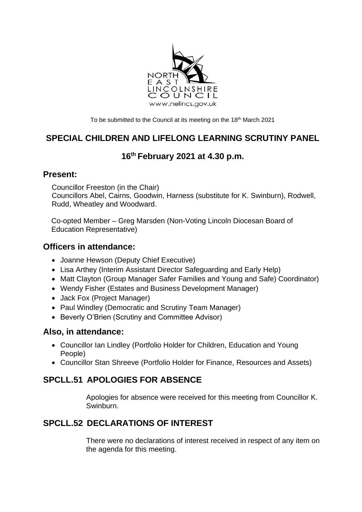

To be submitted to the Council at its meeting on the 18<sup>th</sup> March 2021

# **SPECIAL CHILDREN AND LIFELONG LEARNING SCRUTINY PANEL**

# **16th February 2021 at 4.30 p.m.**

#### **Present:**

Councillor Freeston (in the Chair) Councillors Abel, Cairns, Goodwin, Harness (substitute for K. Swinburn), Rodwell, Rudd, Wheatley and Woodward.

Co-opted Member – Greg Marsden (Non-Voting Lincoln Diocesan Board of Education Representative)

### **Officers in attendance:**

- Joanne Hewson (Deputy Chief Executive)
- Lisa Arthey (Interim Assistant Director Safeguarding and Early Help)
- Matt Clayton (Group Manager Safer Families and Young and Safe) Coordinator)
- Wendy Fisher (Estates and Business Development Manager)
- Jack Fox (Project Manager)
- Paul Windley (Democratic and Scrutiny Team Manager)
- Beverly O'Brien (Scrutiny and Committee Advisor)

#### **Also, in attendance:**

- Councillor Ian Lindley (Portfolio Holder for Children, Education and Young People)
- Councillor Stan Shreeve (Portfolio Holder for Finance, Resources and Assets)

# **SPCLL.51 APOLOGIES FOR ABSENCE**

Apologies for absence were received for this meeting from Councillor K. Swinburn.

# **SPCLL.52 DECLARATIONS OF INTEREST**

There were no declarations of interest received in respect of any item on the agenda for this meeting.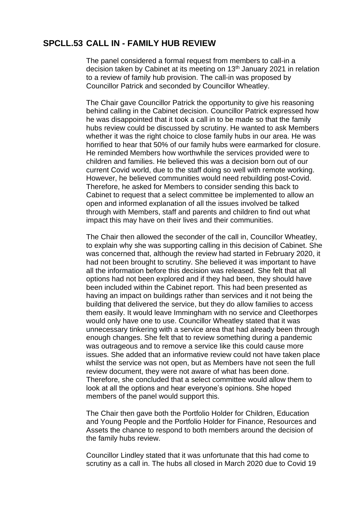#### **SPCLL.53 CALL IN - FAMILY HUB REVIEW**

The panel considered a formal request from members to call-in a decision taken by Cabinet at its meeting on 13<sup>th</sup> January 2021 in relation to a review of family hub provision. The call-in was proposed by Councillor Patrick and seconded by Councillor Wheatley.

The Chair gave Councillor Patrick the opportunity to give his reasoning behind calling in the Cabinet decision. Councillor Patrick expressed how he was disappointed that it took a call in to be made so that the family hubs review could be discussed by scrutiny. He wanted to ask Members whether it was the right choice to close family hubs in our area. He was horrified to hear that 50% of our family hubs were earmarked for closure. He reminded Members how worthwhile the services provided were to children and families. He believed this was a decision born out of our current Covid world, due to the staff doing so well with remote working. However, he believed communities would need rebuilding post-Covid. Therefore, he asked for Members to consider sending this back to Cabinet to request that a select committee be implemented to allow an open and informed explanation of all the issues involved be talked through with Members, staff and parents and children to find out what impact this may have on their lives and their communities.

The Chair then allowed the seconder of the call in, Councillor Wheatley, to explain why she was supporting calling in this decision of Cabinet. She was concerned that, although the review had started in February 2020, it had not been brought to scrutiny. She believed it was important to have all the information before this decision was released. She felt that all options had not been explored and if they had been, they should have been included within the Cabinet report. This had been presented as having an impact on buildings rather than services and it not being the building that delivered the service, but they do allow families to access them easily. It would leave Immingham with no service and Cleethorpes would only have one to use. Councillor Wheatley stated that it was unnecessary tinkering with a service area that had already been through enough changes. She felt that to review something during a pandemic was outrageous and to remove a service like this could cause more issues. She added that an informative review could not have taken place whilst the service was not open, but as Members have not seen the full review document, they were not aware of what has been done. Therefore, she concluded that a select committee would allow them to look at all the options and hear everyone's opinions. She hoped members of the panel would support this.

The Chair then gave both the Portfolio Holder for Children, Education and Young People and the Portfolio Holder for Finance, Resources and Assets the chance to respond to both members around the decision of the family hubs review.

Councillor Lindley stated that it was unfortunate that this had come to scrutiny as a call in. The hubs all closed in March 2020 due to Covid 19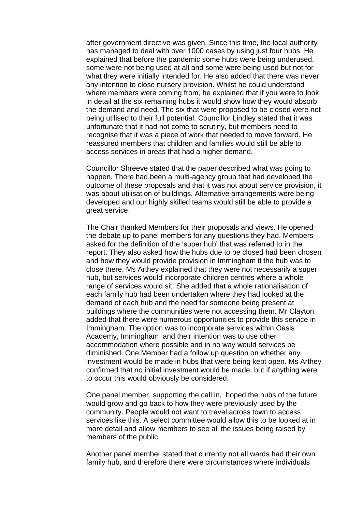after government directive was given. Since this time, the local authority has managed to deal with over 1000 cases by using just four hubs. He explained that before the pandemic some hubs were being underused, some were not being used at all and some were being used but not for what they were initially intended for. He also added that there was never any intention to close nursery provision. Whilst he could understand where members were coming from, he explained that if you were to look in detail at the six remaining hubs it would show how they would absorb the demand and need. The six that were proposed to be closed were not being utilised to their full potential. Councillor Lindley stated that it was unfortunate that it had not come to scrutiny, but members need to recognise that it was a piece of work that needed to move forward. He reassured members that children and families would still be able to access services in areas that had a higher demand.

Councillor Shreeve stated that the paper described what was going to happen. There had been a multi-agency group that had developed the outcome of these proposals and that it was not about service provision, it was about utilisation of buildings. Alternative arrangements were being developed and our highly skilled teams would still be able to provide a great service.

The Chair thanked Members for their proposals and views. He opened the debate up to panel members for any questions they had. Members asked for the definition of the 'super hub' that was referred to in the report. They also asked how the hubs due to be closed had been chosen and how they would provide provision in Immingham if the hub was to close there. Ms Arthey explained that they were not necessarily a super hub, but services would incorporate children centres where a whole range of services would sit. She added that a whole rationalisation of each family hub had been undertaken where they had looked at the demand of each hub and the need for someone being present at buildings where the communities were not accessing them. Mr Clayton added that there were numerous opportunities to provide this service in Immingham. The option was to incorporate services within Oasis Academy, Immingham and their intention was to use other accommodation where possible and in no way would services be diminished. One Member had a follow up question on whether any investment would be made in hubs that were being kept open. Ms Arthey confirmed that no initial investment would be made, but if anything were to occur this would obviously be considered.

One panel member, supporting the call in, hoped the hubs of the future would grow and go back to how they were previously used by the community. People would not want to travel across town to access services like this. A select committee would allow this to be looked at in more detail and allow members to see all the issues being raised by members of the public.

Another panel member stated that currently not all wards had their own family hub, and therefore there were circumstances where individuals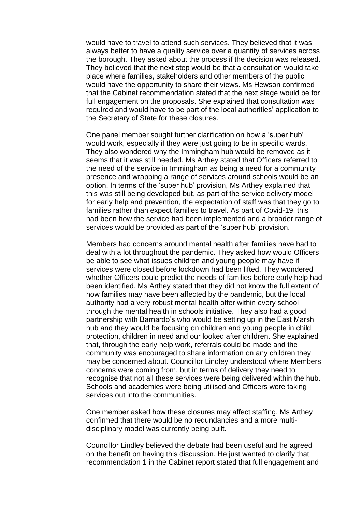would have to travel to attend such services. They believed that it was always better to have a quality service over a quantity of services across the borough. They asked about the process if the decision was released. They believed that the next step would be that a consultation would take place where families, stakeholders and other members of the public would have the opportunity to share their views. Ms Hewson confirmed that the Cabinet recommendation stated that the next stage would be for full engagement on the proposals. She explained that consultation was required and would have to be part of the local authorities' application to the Secretary of State for these closures.

One panel member sought further clarification on how a 'super hub' would work, especially if they were just going to be in specific wards. They also wondered why the Immingham hub would be removed as it seems that it was still needed. Ms Arthey stated that Officers referred to the need of the service in Immingham as being a need for a community presence and wrapping a range of services around schools would be an option. In terms of the 'super hub' provision, Ms Arthey explained that this was still being developed but, as part of the service delivery model for early help and prevention, the expectation of staff was that they go to families rather than expect families to travel. As part of Covid-19, this had been how the service had been implemented and a broader range of services would be provided as part of the 'super hub' provision.

Members had concerns around mental health after families have had to deal with a lot throughout the pandemic. They asked how would Officers be able to see what issues children and young people may have if services were closed before lockdown had been lifted. They wondered whether Officers could predict the needs of families before early help had been identified. Ms Arthey stated that they did not know the full extent of how families may have been affected by the pandemic, but the local authority had a very robust mental health offer within every school through the mental health in schools initiative. They also had a good partnership with Barnardo's who would be setting up in the East Marsh hub and they would be focusing on children and young people in child protection, children in need and our looked after children. She explained that, through the early help work, referrals could be made and the community was encouraged to share information on any children they may be concerned about. Councillor Lindley understood where Members concerns were coming from, but in terms of delivery they need to recognise that not all these services were being delivered within the hub. Schools and academies were being utilised and Officers were taking services out into the communities.

One member asked how these closures may affect staffing. Ms Arthey confirmed that there would be no redundancies and a more multidisciplinary model was currently being built.

Councillor Lindley believed the debate had been useful and he agreed on the benefit on having this discussion. He just wanted to clarify that recommendation 1 in the Cabinet report stated that full engagement and